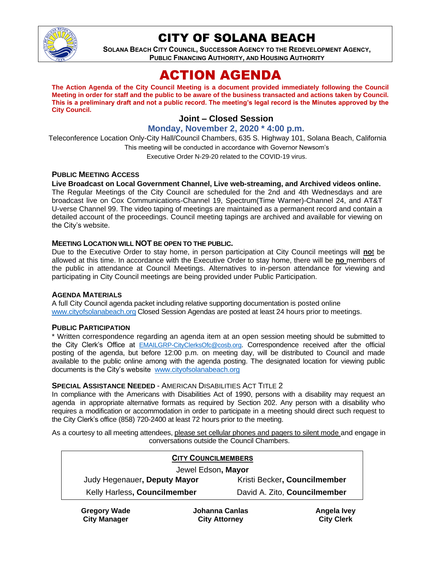

# CITY OF SOLANA BEACH

**SOLANA BEACH CITY COUNCIL, SUCCESSOR AGENCY TO THE REDEVELOPMENT AGENCY, PUBLIC FINANCING AUTHORITY, AND HOUSING AUTHORITY** 

# ACTION AGENDA

**The Action Agenda of the City Council Meeting is a document provided immediately following the Council Meeting in order for staff and the public to be aware of the business transacted and actions taken by Council. This is a preliminary draft and not a public record. The meeting's legal record is the Minutes approved by the City Council.**

# **Joint – Closed Session**

**Monday, November 2, 2020 \* 4:00 p.m.**

Teleconference Location Only-City Hall/Council Chambers, 635 S. Highway 101, Solana Beach, California This meeting will be conducted in accordance with Governor Newsom's Executive Order N-29-20 related to the COVID-19 virus.

## **PUBLIC MEETING ACCESS**

**Live Broadcast on Local Government Channel, Live web-streaming, and Archived videos online.**

The Regular Meetings of the City Council are scheduled for the 2nd and 4th Wednesdays and are broadcast live on Cox Communications-Channel 19, Spectrum(Time Warner)-Channel 24, and AT&T U-verse Channel 99. The video taping of meetings are maintained as a permanent record and contain a detailed account of the proceedings. Council meeting tapings are archived and available for viewing on the City's website.

## **MEETING LOCATION WILL NOT BE OPEN TO THE PUBLIC.**

Due to the Executive Order to stay home, in person participation at City Council meetings will **no**t be allowed at this time. In accordance with the Executive Order to stay home, there will be **no** members of the public in attendance at Council Meetings. Alternatives to in-person attendance for viewing and participating in City Council meetings are being provided under Public Participation.

## **AGENDA MATERIALS**

A full City Council agenda packet including relative supporting documentation is posted online [www.cityofsolanabeach.org](https://urldefense.proofpoint.com/v2/url?u=http-3A__www.cityofsolanabeach.org&d=DwQFAg&c=euGZstcaTDllvimEN8b7jXrwqOf-v5A_CdpgnVfiiMM&r=1XAsCUuqwK_tji2t0s1uIQ&m=wny2RVfZJ2tN24LkqZmkUWNpwL_peNtTZUBlTBZiMM4&s=6ATguqxJUOD7VVtloplAbyuyNaVcEh6Fl4q1iw55lCY&e=) Closed Session Agendas are posted at least 24 hours prior to meetings.

## **PUBLIC PARTICIPATION**

\* Written correspondence regarding an agenda item at an open session meeting should be submitted to the City Clerk's Office at [EMAILGRP-CityClerksOfc@cosb.org](mailto:EMAILGRP-CityClerksOfc@cosb.org). Correspondence received after the official posting of the agenda, but before 12:00 p.m. on meeting day, will be distributed to Council and made available to the public online among with the agenda posting. The designated location for viewing public documents is the City's website [www.cityofsolanabeach.org](http://www.cityofsolanabeach.org/)

#### **SPECIAL ASSISTANCE NEEDED** - AMERICAN DISABILITIES ACT TITLE 2

In compliance with the Americans with Disabilities Act of 1990, persons with a disability may request an agenda in appropriate alternative formats as required by Section 202. Any person with a disability who requires a modification or accommodation in order to participate in a meeting should direct such request to the City Clerk's office (858) 720-2400 at least 72 hours prior to the meeting.

As a courtesy to all meeting attendees, please set cellular phones and pagers to silent mode and engage in conversations outside the Council Chambers.

| <b>CITY COUNCILMEMBERS</b>                                                                                                                                                                                                                                                                                                                                                                                                                                                                                                            |                              |
|---------------------------------------------------------------------------------------------------------------------------------------------------------------------------------------------------------------------------------------------------------------------------------------------------------------------------------------------------------------------------------------------------------------------------------------------------------------------------------------------------------------------------------------|------------------------------|
| Jewel Edson, Mayor                                                                                                                                                                                                                                                                                                                                                                                                                                                                                                                    |                              |
| Judy Hegenauer, Deputy Mayor                                                                                                                                                                                                                                                                                                                                                                                                                                                                                                          | Kristi Becker, Councilmember |
| Kelly Harless, Councilmember                                                                                                                                                                                                                                                                                                                                                                                                                                                                                                          | David A. Zito, Councilmember |
| $\sim$ $\sim$ $\sim$ $\sim$ $\sim$<br>.<br>$\blacksquare$ $\blacksquare$ $\blacksquare$ $\blacksquare$ $\blacksquare$ $\blacksquare$ $\blacksquare$ $\blacksquare$ $\blacksquare$ $\blacksquare$ $\blacksquare$ $\blacksquare$ $\blacksquare$ $\blacksquare$ $\blacksquare$ $\blacksquare$ $\blacksquare$ $\blacksquare$ $\blacksquare$ $\blacksquare$ $\blacksquare$ $\blacksquare$ $\blacksquare$ $\blacksquare$ $\blacksquare$ $\blacksquare$ $\blacksquare$ $\blacksquare$ $\blacksquare$ $\blacksquare$ $\blacksquare$ $\blacks$ |                              |

**Gregory Wade City Manager**

**Johanna Canlas City Attorney**

**Angela Ivey City Clerk**